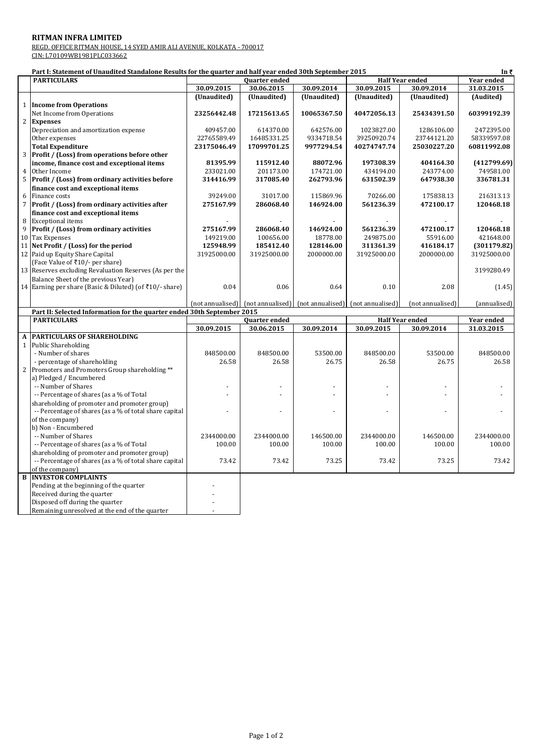## **RITMAN INFRA LIMITED**

REGD. OFFICE RITMAN HOUSE, 14 SYED AMIR ALI AVENUE, KOLKATA - 700017 CIN: L70109WB1981PLC033662

|                |                                                                                                        | Part I: Statement of Unaudited Standalone Results for the quarter and half year ended 30th September 2015<br>In $\bar{\tau}$ |                             |                  |                        |                  |                          |  |
|----------------|--------------------------------------------------------------------------------------------------------|------------------------------------------------------------------------------------------------------------------------------|-----------------------------|------------------|------------------------|------------------|--------------------------|--|
|                | <b>PARTICULARS</b>                                                                                     |                                                                                                                              | Quarter ended               |                  | <b>Half Year ended</b> |                  | Year ended               |  |
|                |                                                                                                        | 30.09.2015                                                                                                                   | 30.06.2015                  | 30.09.2014       | 30.09.2015             | 30.09.2014       | 31.03.2015               |  |
|                |                                                                                                        | (Unaudited)                                                                                                                  | (Unaudited)                 | (Unaudited)      | (Unaudited)            | (Unaudited)      | (Audited)                |  |
| $\mathbf{1}$   | <b>Income from Operations</b>                                                                          |                                                                                                                              |                             |                  |                        |                  |                          |  |
|                | Net Income from Operations                                                                             | 23256442.48                                                                                                                  | 17215613.65                 | 10065367.50      | 40472056.13            | 25434391.50      | 60399192.39              |  |
| $\overline{c}$ | <b>Expenses</b>                                                                                        |                                                                                                                              |                             |                  |                        |                  |                          |  |
|                | Depreciation and amortization expense                                                                  | 409457.00                                                                                                                    | 614370.00                   | 642576.00        | 1023827.00             | 1286106.00       | 2472395.00               |  |
|                | Other expenses                                                                                         | 22765589.49                                                                                                                  | 16485331.25                 | 9334718.54       | 39250920.74            | 23744121.20      | 58339597.08              |  |
|                | <b>Total Expenditure</b>                                                                               | 23175046.49                                                                                                                  | 17099701.25                 | 9977294.54       | 40274747.74            | 25030227.20      | 60811992.08              |  |
| 3              | Profit / (Loss) from operations before other                                                           |                                                                                                                              |                             |                  |                        |                  |                          |  |
|                | income, finance cost and exceptional items                                                             | 81395.99                                                                                                                     | 115912.40                   | 88072.96         | 197308.39              | 404164.30        | (412799.69)              |  |
| $\overline{4}$ | Other Income                                                                                           | 233021.00                                                                                                                    | 201173.00                   | 174721.00        | 434194.00              | 243774.00        | 749581.00                |  |
| 5              | Profit / (Loss) from ordinary activities before                                                        | 314416.99                                                                                                                    | 317085.40                   | 262793.96        | 631502.39              | 647938.30        | 336781.31                |  |
|                | finance cost and exceptional items                                                                     |                                                                                                                              |                             |                  |                        |                  |                          |  |
| 6              | Finance costs                                                                                          | 39249.00                                                                                                                     | 31017.00                    | 115869.96        | 70266.00               | 175838.13        | 216313.13                |  |
| $\sqrt{7}$     | Profit / (Loss) from ordinary activities after                                                         | 275167.99                                                                                                                    | 286068.40                   | 146924.00        | 561236.39              | 472100.17        | 120468.18                |  |
|                | finance cost and exceptional items                                                                     |                                                                                                                              |                             |                  |                        |                  |                          |  |
| 8              | <b>Exceptional</b> items                                                                               |                                                                                                                              |                             |                  |                        |                  |                          |  |
| 9              | Profit / (Loss) from ordinary activities                                                               | 275167.99                                                                                                                    | 286068.40                   | 146924.00        | 561236.39              | 472100.17        | 120468.18                |  |
|                | 10 Tax Expenses                                                                                        | 149219.00                                                                                                                    | 100656.00                   | 18778.00         | 249875.00              | 55916.00         | 421648.00                |  |
|                | 11 Net Profit / (Loss) for the period                                                                  | 125948.99                                                                                                                    | 185412.40                   | 128146.00        | 311361.39              | 416184.17        | (301179.82)              |  |
|                | 12 Paid up Equity Share Capital                                                                        | 31925000.00                                                                                                                  | 31925000.00                 | 2000000.00       | 31925000.00            | 2000000.00       | 31925000.00              |  |
|                | (Face Value of ₹10/- per share)                                                                        |                                                                                                                              |                             |                  |                        |                  |                          |  |
|                | 13 Reserves excluding Revaluation Reserves (As per the                                                 |                                                                                                                              |                             |                  |                        |                  | 3199280.49               |  |
|                | Balance Sheet of the previous Year)                                                                    |                                                                                                                              |                             |                  |                        |                  |                          |  |
|                | 14 Earning per share (Basic & Diluted) (of ₹10/- share)                                                | 0.04                                                                                                                         | 0.06                        | 0.64             | 0.10                   | 2.08             | (1.45)                   |  |
|                |                                                                                                        |                                                                                                                              |                             |                  |                        |                  |                          |  |
|                |                                                                                                        | (not annualised)                                                                                                             | (not annualised)            | (not annualised) | (not annualised)       | (not annualised) | (annualised)             |  |
|                | Part II: Selected Information for the quarter ended 30th September 2015<br><b>Half Year ended</b>      |                                                                                                                              |                             |                  |                        |                  |                          |  |
|                | <b>PARTICULARS</b>                                                                                     | 30.09.2015                                                                                                                   | Quarter ended<br>30.06.2015 | 30.09.2014       | 30.09.2015             | 30.09.2014       | Year ended<br>31.03.2015 |  |
| A              | <b>PARTICULARS OF SHAREHOLDING</b>                                                                     |                                                                                                                              |                             |                  |                        |                  |                          |  |
| $\mathbf{1}$   | <b>Public Shareholding</b>                                                                             |                                                                                                                              |                             |                  |                        |                  |                          |  |
|                | - Number of shares                                                                                     | 848500.00                                                                                                                    | 848500.00                   | 53500.00         | 848500.00              | 53500.00         | 848500.00                |  |
|                | - percentage of shareholding                                                                           | 26.58                                                                                                                        | 26.58                       | 26.75            | 26.58                  | 26.75            | 26.58                    |  |
| $\overline{c}$ | Promoters and Promoters Group shareholding **                                                          |                                                                                                                              |                             |                  |                        |                  |                          |  |
|                | a) Pledged / Encumbered                                                                                |                                                                                                                              |                             |                  |                        |                  |                          |  |
|                | -- Number of Shares                                                                                    |                                                                                                                              |                             |                  |                        |                  |                          |  |
|                | -- Percentage of shares (as a % of Total                                                               |                                                                                                                              |                             |                  |                        |                  |                          |  |
|                |                                                                                                        |                                                                                                                              |                             |                  |                        |                  |                          |  |
|                | shareholding of promoter and promoter group)<br>-- Percentage of shares (as a % of total share capital |                                                                                                                              |                             |                  |                        |                  |                          |  |
|                | of the company)                                                                                        |                                                                                                                              |                             |                  |                        |                  |                          |  |
|                | b) Non - Encumbered                                                                                    |                                                                                                                              |                             |                  |                        |                  |                          |  |
|                | -- Number of Shares                                                                                    | 2344000.00                                                                                                                   | 2344000.00                  | 146500.00        | 2344000.00             | 146500.00        | 2344000.00               |  |
|                |                                                                                                        |                                                                                                                              |                             |                  |                        |                  |                          |  |
|                | -- Percentage of shares (as a % of Total                                                               | 100.00                                                                                                                       | 100.00                      | 100.00           | 100.00                 | 100.00           | 100.00                   |  |
|                | shareholding of promoter and promoter group)                                                           |                                                                                                                              |                             |                  |                        |                  | 73.42                    |  |
|                | -- Percentage of shares (as a % of total share capital                                                 | 73.42                                                                                                                        | 73.42                       | 73.25            | 73.42                  | 73.25            |                          |  |
|                | of the company)<br><b>B INVESTOR COMPLAINTS</b>                                                        |                                                                                                                              |                             |                  |                        |                  |                          |  |
|                |                                                                                                        |                                                                                                                              |                             |                  |                        |                  |                          |  |
|                | Pending at the beginning of the quarter<br>Received during the quarter                                 |                                                                                                                              |                             |                  |                        |                  |                          |  |
|                |                                                                                                        |                                                                                                                              |                             |                  |                        |                  |                          |  |
|                |                                                                                                        |                                                                                                                              |                             |                  |                        |                  |                          |  |
|                | Disposed off during the quarter<br>Remaining unresolved at the end of the quarter                      |                                                                                                                              |                             |                  |                        |                  |                          |  |